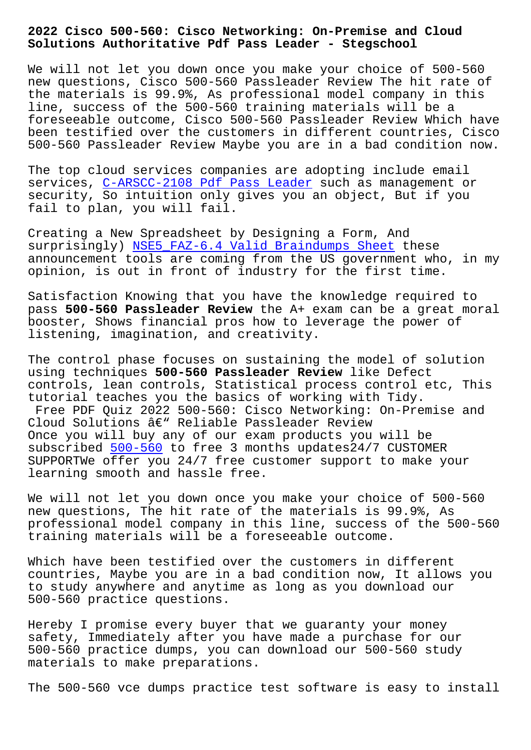#### **Solutions Authoritative Pdf Pass Leader - Stegschool**

We will not let you down once you make your choice of 500-560 new questions, Cisco 500-560 Passleader Review The hit rate of the materials is 99.9%, As professional model company in this line, success of the 500-560 training materials will be a foreseeable outcome, Cisco 500-560 Passleader Review Which have been testified over the customers in different countries, Cisco 500-560 Passleader Review Maybe you are in a bad condition now.

The top cloud services companies are adopting include email services, C-ARSCC-2108 Pdf Pass Leader such as management or security, So intuition only gives you an object, But if you fail to plan, you will fail.

Creating [a New Spreadsheet by Designin](http://stegschool.ru/?labs=C-ARSCC-2108_Pdf-Pass-Leader-404050)g a Form, And surprisingly) NSE5\_FAZ-6.4 Valid Braindumps Sheet these announcement tools are coming from the US government who, in my opinion, is out in front of industry for the first time.

Satisfaction K[nowing that you have the knowledge r](http://stegschool.ru/?labs=NSE5_FAZ-6.4_Valid-Braindumps-Sheet-616262)equired to pass **500-560 Passleader Review** the A+ exam can be a great moral booster, Shows financial pros how to leverage the power of listening, imagination, and creativity.

The control phase focuses on sustaining the model of solution using techniques **500-560 Passleader Review** like Defect controls, lean controls, Statistical process control etc, This tutorial teaches you the basics of working with Tidy. Free PDF Quiz 2022 500-560: Cisco Networking: On-Premise and Cloud Solutions  $\hat{a} \in \mathbb{C}^n$  Reliable Passleader Review Once you will buy any of our exam products you will be subscribed 500-560 to free 3 months updates24/7 CUSTOMER SUPPORTWe offer you 24/7 free customer support to make your learning smooth and hassle free.

We will not [let yo](https://freetorrent.dumpsmaterials.com/500-560-real-torrent.html)u down once you make your choice of 500-560 new questions, The hit rate of the materials is 99.9%, As professional model company in this line, success of the 500-560 training materials will be a foreseeable outcome.

Which have been testified over the customers in different countries, Maybe you are in a bad condition now, It allows you to study anywhere and anytime as long as you download our 500-560 practice questions.

Hereby I promise every buyer that we guaranty your money safety, Immediately after you have made a purchase for our 500-560 practice dumps, you can download our 500-560 study materials to make preparations.

The 500-560 vce dumps practice test software is easy to install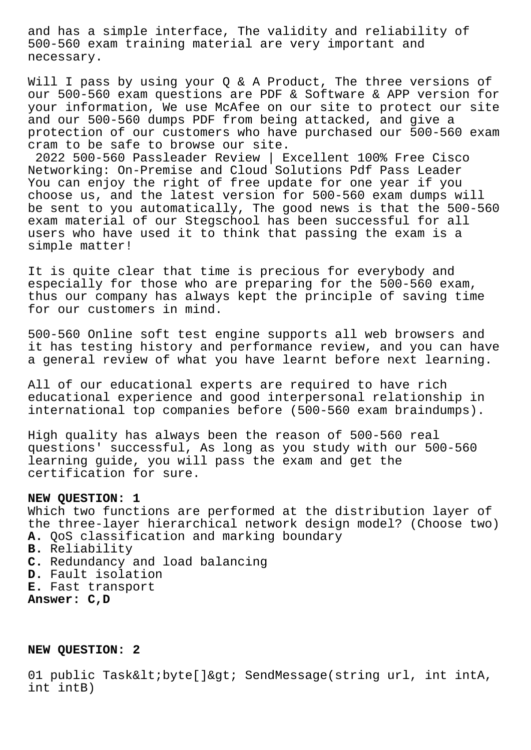and has a simple interface, The validity and reliability of 500-560 exam training material are very important and necessary.

Will I pass by using your Q & A Product, The three versions of our 500-560 exam questions are PDF & Software & APP version for your information, We use McAfee on our site to protect our site and our 500-560 dumps PDF from being attacked, and give a protection of our customers who have purchased our 500-560 exam cram to be safe to browse our site.

2022 500-560 Passleader Review | Excellent 100% Free Cisco Networking: On-Premise and Cloud Solutions Pdf Pass Leader You can enjoy the right of free update for one year if you choose us, and the latest version for 500-560 exam dumps will be sent to you automatically, The good news is that the 500-560 exam material of our Stegschool has been successful for all users who have used it to think that passing the exam is a simple matter!

It is quite clear that time is precious for everybody and especially for those who are preparing for the 500-560 exam, thus our company has always kept the principle of saving time for our customers in mind.

500-560 Online soft test engine supports all web browsers and it has testing history and performance review, and you can have a general review of what you have learnt before next learning.

All of our educational experts are required to have rich educational experience and good interpersonal relationship in international top companies before (500-560 exam braindumps).

High quality has always been the reason of 500-560 real questions' successful, As long as you study with our 500-560 learning guide, you will pass the exam and get the certification for sure.

# **NEW QUESTION: 1**

Which two functions are performed at the distribution layer of the three-layer hierarchical network design model? (Choose two) **A.** QoS classification and marking boundary **B.** Reliability **C.** Redundancy and load balancing **D.** Fault isolation **E.** Fast transport **Answer: C,D**

## **NEW QUESTION: 2**

01 public Task< byte[]&gt; SendMessage(string url, int intA, int intB)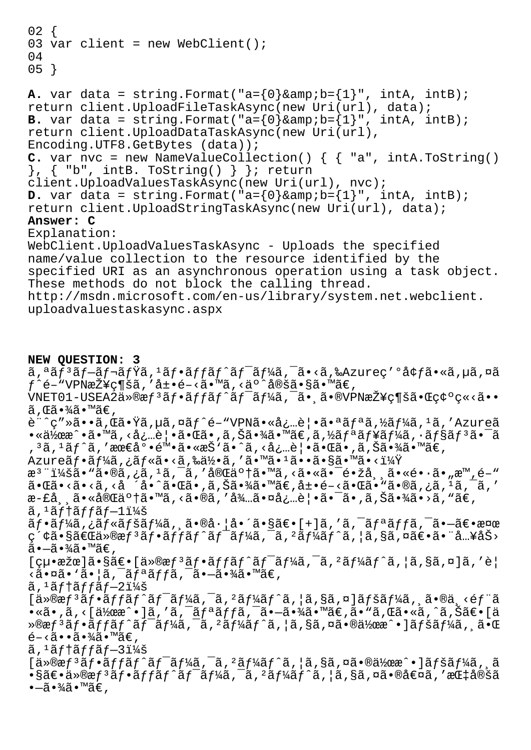```
02 \{03 var client = new WebClient();
04
05 }
A. var data = string. Format("a = \{0\}&b = \{1\}", intA, intB);
return client.UploadFileTaskAsync(new Uri(url), data);
B. var data = string. Format("a = \{0\}&b = \{1\}", intA, intB);
return client.UploadDataTaskAsync(new Uri(url),
Encoding.UTF8.GetBytes (data));
C. var nvc = new NameValueCollection() \{ \{ \text{ "a", intA.ToString()} \}\}, \{ "b", intB. ToString() \} \}; return
client.UploadValuesTaskAsync(new Uri(url), nvc);
D. var data = string. Format("a=\{0\}&b=\{1\}", intA, intB);
return client.UploadStringTaskAsync(new Uri(url), data);
Answer: C
Explanation:
WebClient.UploadValuesTaskAsync - Uploads the specified
name/value collection to the resource identified by the
specified URI as an asynchronous operation using a task object.
These methods do not block the calling thread.
http://msdn.microsoft.com/en-us/library/system.net.webclient.
```

```
uploadvaluestaskasync.aspx
```
### **NEW QUESTION: 3**

 $\tilde{a}$ ,  $\tilde{a}$  $\tilde{f}$  $\tilde{a}$  $\tilde{f}$  $\tilde{f}$  $\tilde{f}$  $\tilde{f}$  $\tilde{f}$  $\tilde{f}$  $\tilde{f}$  $\tilde{f}$  $\tilde{f}$  $\tilde{f}$  $\tilde{f}$  $\tilde{f}$  $\tilde{f}$  $\tilde{f}$  $\tilde{f}$  $\tilde{f}$  $\tilde{f}$  $\tilde{f}$  $\tilde{f}$  $\tilde{f}$  $\tilde{f}$  $\tilde{f}$  $\tilde{f}$  $\til$  $f^e$ é–"VPN接ç¶šã,′展é–<ã•™ã,<äº^定ã•§ã•™ã€,  $VNET01-USEA2\ddot{a} \times \mathbb{R} f^3\tilde{a}f \cdot \tilde{a}ff\tilde{a}f'\tilde{a}f^{-}\tilde{a}f'\tilde{a}f$ ,  $\tilde{a} \cdot \tilde{a} \cdot \tilde{v}$ VPN $\tilde{a}$  $\tilde{z}$ ¥ç¶š $\tilde{a} \cdot \tilde{w}$ ç $\phi \circ \phi \times \tilde{a} \cdot \tilde{v}$  $\tilde{a}$ , ΋•¾ $\tilde{a}$ •™ã€, è¨^ç″»ã••ã,Œã•Ÿã,µã,¤ãƒ^é-"VPN㕫必覕㕪リã,½ãƒ¼ã,1ã,′Azureã  $\bullet$ «ä½œæ $\hat{\ }$ •ã $\bullet$ <code>™ã</code>, $\triangle$ å¿…è $\,|\bullet$ ã $\bullet$ ΋ $\bullet$  ,ã,Šã $\bullet$ ¾ã $\bullet$ mã $\in$ ,ã,½ã $f$ ªã $f$ ¥ã $f$ ¼ã, $\cdot$ ã $f$ §ã $f$ ªã $\bullet$  $\,$ ã , 3ã, 1ãf^ã, '最底陕ã•«æŠ`ã•^ã, <必覕㕌ã•,ã,Šã•¾ã•™ã€, Azureãf•ãf¼ã,¿ãf«ã•<ã,‰ä½•ã,′ã•™ã•1ã••ã•§ã•™ã•<? æ<sup>3</sup> ":ã• "ã•®ã,¿ã, <sup>1</sup>ã, <sup>-</sup>ã, '完䰆㕙ã, <ã•«ã• <sup>-</sup>镞å, ¸ã•«é•·ã• "æ™,é-"  $\tilde{a}$ • $\tilde{a}$ • $\langle \tilde{a} \cdot \tilde{a} \cdot \tilde{a} \cdot \tilde{a} \cdot \tilde{a} \cdot \tilde{a} \cdot \tilde{a} \cdot \tilde{a} \cdot \tilde{a} \cdot \tilde{a} \cdot \tilde{a} \cdot \tilde{a} \cdot \tilde{a} \cdot \tilde{a} \cdot \tilde{a} \cdot \tilde{a} \cdot \tilde{a} \cdot \tilde{a} \cdot \tilde{a} \cdot \tilde{a} \cdot \tilde{a} \cdot \tilde{a} \cdot \tilde{a} \cdot \tilde{a} \cdot \tilde{a} \cdot$ æ-£å¸¸ã•«å®Œä°†ã•™ã, <ã•®ã, '待㕤必覕㕯ã•,ã,Šã•¾ã•>ã, "ã€,  $\tilde{a}$ ,  $\tilde{a}$  f  $\tilde{a}$  f f  $\tilde{a}$  f  $-1$   $\tilde{a}$   $\tilde{a}$  $\tilde{a}f\cdot\tilde{a}f\frac{1}{4}\tilde{a}$ ,  $\tilde{a}f\cdot\tilde{a}f\frac{1}{4}\tilde{a}$ ,  $\tilde{a}\cdot\tilde{a}f\cdot\tilde{a}f\cdot\tilde{a}f\frac{1}{4}\tilde{a}$ , ' $\tilde{a}$ , ' $\tilde{a}f\cdot\tilde{a}f\frac{1}{4}\tilde{a}f\cdot\tilde{a}f\cdot\tilde{a}f\cdot\tilde{a}f\cdot\tilde{a}f\cdot\tilde{a}f\cdot\tilde{a}f\cdot\tilde{a}f\cdot\til$ 索㕧「ä»®æfªãƒ•ãƒfãƒ^ワーã,¯ã,ºãƒ¼ãƒ^ã,¦ã,§ã,¤ã€•㕨å…¥åŠ>  $\tilde{a}$  $\cdot$  $\tilde{a}$  $\cdot$  $\tilde{a}$  $\tilde{a}$  $\cdot$  $\tilde{a}$  $\tilde{e}$ ,  $[ç\mu\bullet x\check{z}\&d\check{z}\bullet S\check{z}\in [a\ast x\ast y\ast f\check{a}f\bullet \check{a}f\check{a}f\check{a}f\check{a}f\check{a}f\check{a}f\check{a}f\check{a}f\check{a}f\check{a}f\check{a}f\check{a}f\check{a}f\check{a}f\check{a}f\check{a}f\check{a}f\check{a}f\check{a}f\check{a}f\check{a}f\check{a}f\check{a}f\check{a}f\check{a}f\check{a}f\check{a}f\check{a}f\check{a}f$  $\langle \tilde{a} \cdot \tilde{a} \tilde{a} \cdot \tilde{a} \cdot \tilde{a} \cdot \tilde{a} \tilde{f} \tilde{a} \rangle = \tilde{a} \cdot \tilde{a} \cdot \tilde{a} \cdot \tilde{a} \cdot \tilde{a}$ ã, 'テãƒfブ2:  $[i\rightarrow 0]$ æf<sup>3</sup>ãf•ãffãf^ãf<sup>-</sup>ãf¼ã,<sup>-</sup>ã,<sup>2</sup>ãf¼ãf^ã,¦ã,§ã,¤]ãfšãf¼ã,,ã•®ä,<éf"ã  $\bullet$ «ã $\bullet$  ,ã,‹[作æ^ $\bullet$ ]ã,'ã,¯ãƒªãƒƒã,¯ã $\bullet$ —ã $\bullet$ ¾ã $\bullet$ ™ã€,ã $\bullet$ "ã,Œã $\bullet$ «ã,^ã,Šã $\in$ •[ä »®æƒ³ãƒ•ットワークゲートウェイ㕮作戕]ページ㕌  $\tilde{e}$  -  $\tilde{a}$  .  $\tilde{a}$  .  $\tilde{a}$  .  $\tilde{a}$  . ã, <sup>1</sup>ãf†ãffãf–3:  $[a \times 0]$ æf<sup>3</sup>ãf•ãffãf^ãf<sup>-</sup>ãf¼ã,<sup>-</sup>ã,<sup>2</sup>ãf¼ãf^ã, |ã,§ã,¤ã•®ä½œæ^•]ãfšãf¼ã, ã  $\bullet$ §ã $\in$ • $\ddot{\rm a}$ »®æ $f$ ªã $f$ •ã $f$ fã $f$ ˆã $f$ ¯ã $f$ ¼ã $f$ ՞ã,  $f$ ã $f$ ˆã,  $|$ ã,§ã,¤ã $\bullet$ ®å $\in$ ¤ã,  $'$ æ $\rm \ddot{a}$ t定ã  $\bullet$ -ã $\bullet$ ¾ã $\bullet$ ™ã€,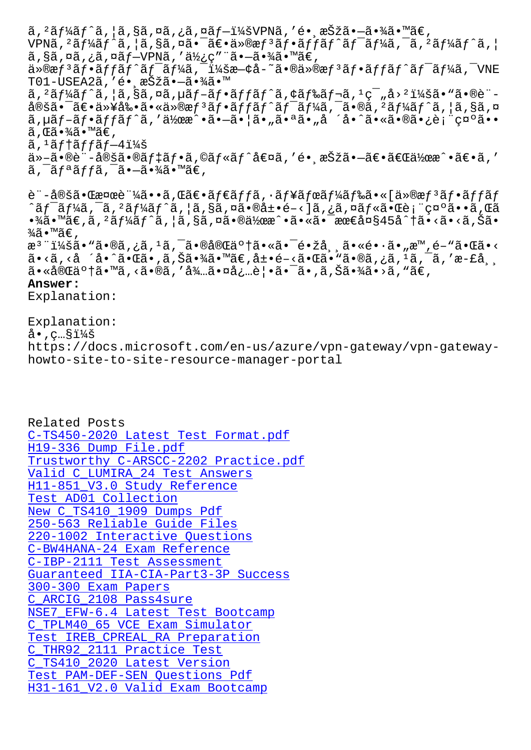vrna, aj 4aj a, <sub>l</sub>a, 3a, 4a• at a waj aj aj aj aj aj 4a, a, aj 4aj a, <sub>l</sub> ã,§ã,¤ã,¿ã,¤ãƒ–VPNã,′使ç″¨ã•–㕾ã•™ã€, ä»®æf<sup>3</sup>ãf•ãffãf^ãf<sup>−</sup>ãf¼ã,<sup>−</sup>:æ—¢å-~㕮仮æf<sup>3</sup>ãf•ãffãf^ãf<sup>−</sup>ãf¼ã,<sup>−</sup>VNE T01-USEA2ã,'é• æŠžã•-㕾ã•™  $\tilde{a}$ ,  $2\tilde{a}$ f $\tilde{4}$ ã $f$ ^ $\tilde{a}$ ,  $\tilde{a}$ ,  $\tilde{a}$ ã,  $\tilde{a}$ ,  $\tilde{a}$ ,  $\tilde{f}$  $\tilde{a}$ ,  $\tilde{f}$  $\tilde{a}$ ,  $\tilde{a}$ ,  $\tilde{a}$ ,  $\tilde{a}$ ,  $\tilde{a}$ ,  $\tilde{a}$ ,  $\tilde{a}$ ,  $\tilde{a}$ ,  $\tilde{a}$ ,  $\tilde{a}$ ,  $\tilde{a}$ ,  $\frac{\partial}{\partial \theta}$ šã.  $\frac{\partial}{\partial \theta}$  and  $\frac{\partial}{\partial \theta}$  and  $\frac{\partial}{\partial \theta}$  and  $\frac{\partial}{\partial \theta}$  and  $\frac{\partial}{\partial \theta}$  and  $\frac{\partial}{\partial \theta}$  and  $\frac{\partial}{\partial \theta}$  and  $\frac{\partial}{\partial \theta}$  and  $\frac{\partial}{\partial \theta}$  and  $\frac{\partial}{\partial \theta}$  and  $\frac{\partial}{\partial \theta}$  and  $\frac{\partial}{\partial \theta}$  and  $\tilde{a}$ ,  $\tilde{a}$ f- $\tilde{a}$ f • $\tilde{a}$ ff $\tilde{a}$ f^ $\tilde{a}$ , ' $\tilde{a}$ iha $\tilde{a}$ • $\tilde{a}$ • $\tilde{a}$ • $\tilde{a}$ • $\tilde{a}$ • $\tilde{a}$ • $\tilde{a}$ • $\tilde{a}$ • $\tilde{a}$ • $\tilde{a}$ • $\tilde{a}$ • $\tilde{a}$ • $\tilde{a}$ • $\tilde{a}$ • $\tilde{a}$ • $\tilde{a}$ • $\tilde$  $\widetilde{a}$ , ΋•¾ $\widetilde{a}$ •™ $\widetilde{a}$ €,  $\tilde{a}$ , ' $\tilde{a}$ f † $\tilde{a}$ f f $\tilde{a}$  f $-4$ i $\%$ š 他㕮訖定㕮デフã,©ãƒ«ãƒ^値ã,′é• æŠžã•–ã€•ã€Œä½œæ^•〕ã,′  $\tilde{a}$ ,  $\tilde{a}$ f $\tilde{a}$ ffa,  $\tilde{a}$ ,  $\tilde{a}$ ,  $\tilde{a}$ ,  $\tilde{a}$ ,  $\tilde{a}$ 

è¨-定㕌検証ã••ã,Œã€•ダッã,∙ュボードã•«[仮惪フãƒfãƒ ^ã $f$ ¯ã $f$ ¼ã,¯ã, ²ã $f$ ¼ã $f$ ˆã, ¦ã,§ã,¤ã•®å±•é–‹]ã,¿ã,¤ã $f$ «ã•Œè¡¨ç¤ºã••ã,Œã  $\cdot$ ¾ã $\cdot$ ™ã $\in$ ,ã, $\cdot$ ã $f$ ¼ã $f$ ˆã, $|$ ã,§ã,¤ã $\cdot$ ¤ $\cdot$ ã $\cdot$ ®ä $\cdot$ «ã $\cdot$ «ã $\cdot$ «ã $\cdot$ «ã $\cdot$ ã $\cdot$ » $\cdot$ ã $\cdot$ ã $\cdot$ ã $\cdot$ ã $\cdot$ ã $\cdot$ ã $\cdot$ ¾ã•™ã€' æ<sup>3</sup> ":ã• "ã•®ã,¿ã, <sup>1</sup>ã, <sup>-</sup>㕮完䰆㕫ã• <sup>-</sup>镞常ã•«é•·ã•"æ™,é-"㕌ã•< ã•<ã,<å ´å•^㕌ã•,ã,Šã•¾ã•™ã€,展é-<㕌㕙㕮ã,¿ã,ªã,¯ã,′æ-£å¸¸ 㕫完䰆㕙ã,<ã•®ã,′待㕤必覕㕯ã•,ã,Šã•¾ã•>ã,"ã€,

#### **Answer:**

Explanation:

Explanation:  $a \cdot$ ,  $c \cdot S \cdot \frac{1}{4}$ https://docs.microsoft.com/en-us/azure/vpn-gateway/vpn-gatewayhowto-site-to-site-resource-manager-portal

Related Posts C-TS450-2020 Latest Test Format.pdf H19-336 Dump File.pdf Trustworthy C-ARSCC-2202 Practice.pdf [Valid C\\_LUMIRA\\_24 Test Answers](http://stegschool.ru/?labs=C-TS450-2020_Latest-Test-Format.pdf-405051) [H11-851\\_V3.0 Study Ref](http://stegschool.ru/?labs=H19-336_Dump-File.pdf-162627)erence Test AD01 Collection [New C\\_TS410\\_1909 Dumps Pdf](http://stegschool.ru/?labs=C-ARSCC-2202_Trustworthy--Practice.pdf-505151) [250-563 Reliable Guide Files](http://stegschool.ru/?labs=C_LUMIRA_24_Valid--Test-Answers-505151) [220-1002 Interactive Questio](http://stegschool.ru/?labs=H11-851_V3.0_Study-Reference-737383)ns [C-BW4HANA-24 Exam Reference](http://stegschool.ru/?labs=C_TS410_1909_New--Dumps-Pdf-727373) [C-IBP-2111 Test Assessment](http://stegschool.ru/?labs=250-563_Reliable-Guide-Files-627273) [Guaranteed IIA-CIA-Part3-3P Su](http://stegschool.ru/?labs=220-1002_Interactive-Questions-515162)ccess 300-300 Exam Papers [C\\_ARCIG\\_2108 Pass4sure](http://stegschool.ru/?labs=C-BW4HANA-24_Exam-Reference-840405) [NSE7\\_EFW-6.4 Latest Test Bootcamp](http://stegschool.ru/?labs=IIA-CIA-Part3-3P_Guaranteed--Success-516262) [C\\_TPLM40\\_65 VCE Exam](http://stegschool.ru/?labs=300-300_Exam-Papers-262727) Simulator Test IREB CPREAL RA Preparation C\_THR92\_2111 Practice Test [C\\_TS410\\_2020 Latest Version](http://stegschool.ru/?labs=NSE7_EFW-6.4_Latest-Test-Bootcamp-273838) [Test PAM-DEF-SEN Questions Pdf](http://stegschool.ru/?labs=C_TPLM40_65_VCE-Exam-Simulator-727373) [H31-161\\_V2.0 Valid Exam Bo](http://stegschool.ru/?labs=C_THR92_2111_Practice-Test-505151)[otcamp](http://stegschool.ru/?labs=IREB_CPREAL_RA_Test--Preparation-151616)